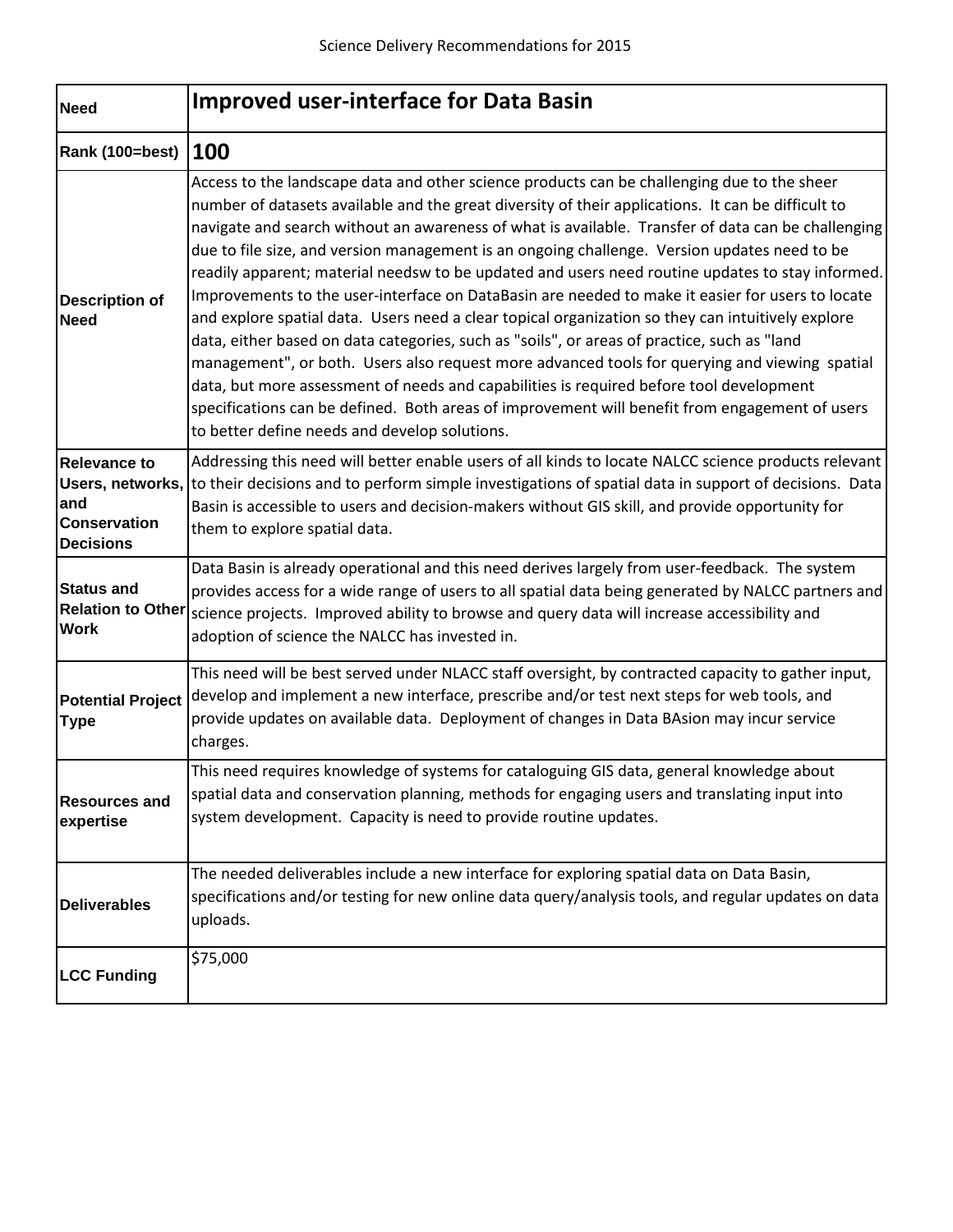| <b>Need</b>                                                           | <b>Improved user-interface for Data Basin</b>                                                                                                                                                                                                                                                                                                                                                                                                                                                                                                                                                                                                                                                                                                                                                                                                                                                                                                                                                                                                                                                                                                                      |
|-----------------------------------------------------------------------|--------------------------------------------------------------------------------------------------------------------------------------------------------------------------------------------------------------------------------------------------------------------------------------------------------------------------------------------------------------------------------------------------------------------------------------------------------------------------------------------------------------------------------------------------------------------------------------------------------------------------------------------------------------------------------------------------------------------------------------------------------------------------------------------------------------------------------------------------------------------------------------------------------------------------------------------------------------------------------------------------------------------------------------------------------------------------------------------------------------------------------------------------------------------|
| Rank (100=best)   100                                                 |                                                                                                                                                                                                                                                                                                                                                                                                                                                                                                                                                                                                                                                                                                                                                                                                                                                                                                                                                                                                                                                                                                                                                                    |
| <b>Description of</b><br><b>Need</b>                                  | Access to the landscape data and other science products can be challenging due to the sheer<br>number of datasets available and the great diversity of their applications. It can be difficult to<br>navigate and search without an awareness of what is available. Transfer of data can be challenging<br>due to file size, and version management is an ongoing challenge. Version updates need to be<br>readily apparent; material needsw to be updated and users need routine updates to stay informed.<br>Improvements to the user-interface on DataBasin are needed to make it easier for users to locate<br>and explore spatial data. Users need a clear topical organization so they can intuitively explore<br>data, either based on data categories, such as "soils", or areas of practice, such as "land<br>management", or both. Users also request more advanced tools for querying and viewing spatial<br>data, but more assessment of needs and capabilities is required before tool development<br>specifications can be defined. Both areas of improvement will benefit from engagement of users<br>to better define needs and develop solutions. |
| <b>Relevance to</b><br>and<br><b>Conservation</b><br><b>Decisions</b> | Addressing this need will better enable users of all kinds to locate NALCC science products relevant<br>Users, networks, to their decisions and to perform simple investigations of spatial data in support of decisions. Data<br>Basin is accessible to users and decision-makers without GIS skill, and provide opportunity for<br>them to explore spatial data.                                                                                                                                                                                                                                                                                                                                                                                                                                                                                                                                                                                                                                                                                                                                                                                                 |
| <b>Status and</b><br><b>Work</b>                                      | Data Basin is already operational and this need derives largely from user-feedback. The system<br>provides access for a wide range of users to all spatial data being generated by NALCC partners and<br>Relation to Other science projects. Improved ability to browse and query data will increase accessibility and<br>adoption of science the NALCC has invested in.                                                                                                                                                                                                                                                                                                                                                                                                                                                                                                                                                                                                                                                                                                                                                                                           |
| <b>Potential Project</b><br><b>Type</b>                               | This need will be best served under NLACC staff oversight, by contracted capacity to gather input,<br>develop and implement a new interface, prescribe and/or test next steps for web tools, and<br>provide updates on available data. Deployment of changes in Data BAsion may incur service<br>charges.                                                                                                                                                                                                                                                                                                                                                                                                                                                                                                                                                                                                                                                                                                                                                                                                                                                          |
| <b>Resources and</b><br>expertise                                     | This need requires knowledge of systems for cataloguing GIS data, general knowledge about<br>spatial data and conservation planning, methods for engaging users and translating input into<br>system development. Capacity is need to provide routine updates.                                                                                                                                                                                                                                                                                                                                                                                                                                                                                                                                                                                                                                                                                                                                                                                                                                                                                                     |
| <b>Deliverables</b>                                                   | The needed deliverables include a new interface for exploring spatial data on Data Basin,<br>specifications and/or testing for new online data query/analysis tools, and regular updates on data<br>uploads.                                                                                                                                                                                                                                                                                                                                                                                                                                                                                                                                                                                                                                                                                                                                                                                                                                                                                                                                                       |
| <b>LCC Funding</b>                                                    | \$75,000                                                                                                                                                                                                                                                                                                                                                                                                                                                                                                                                                                                                                                                                                                                                                                                                                                                                                                                                                                                                                                                                                                                                                           |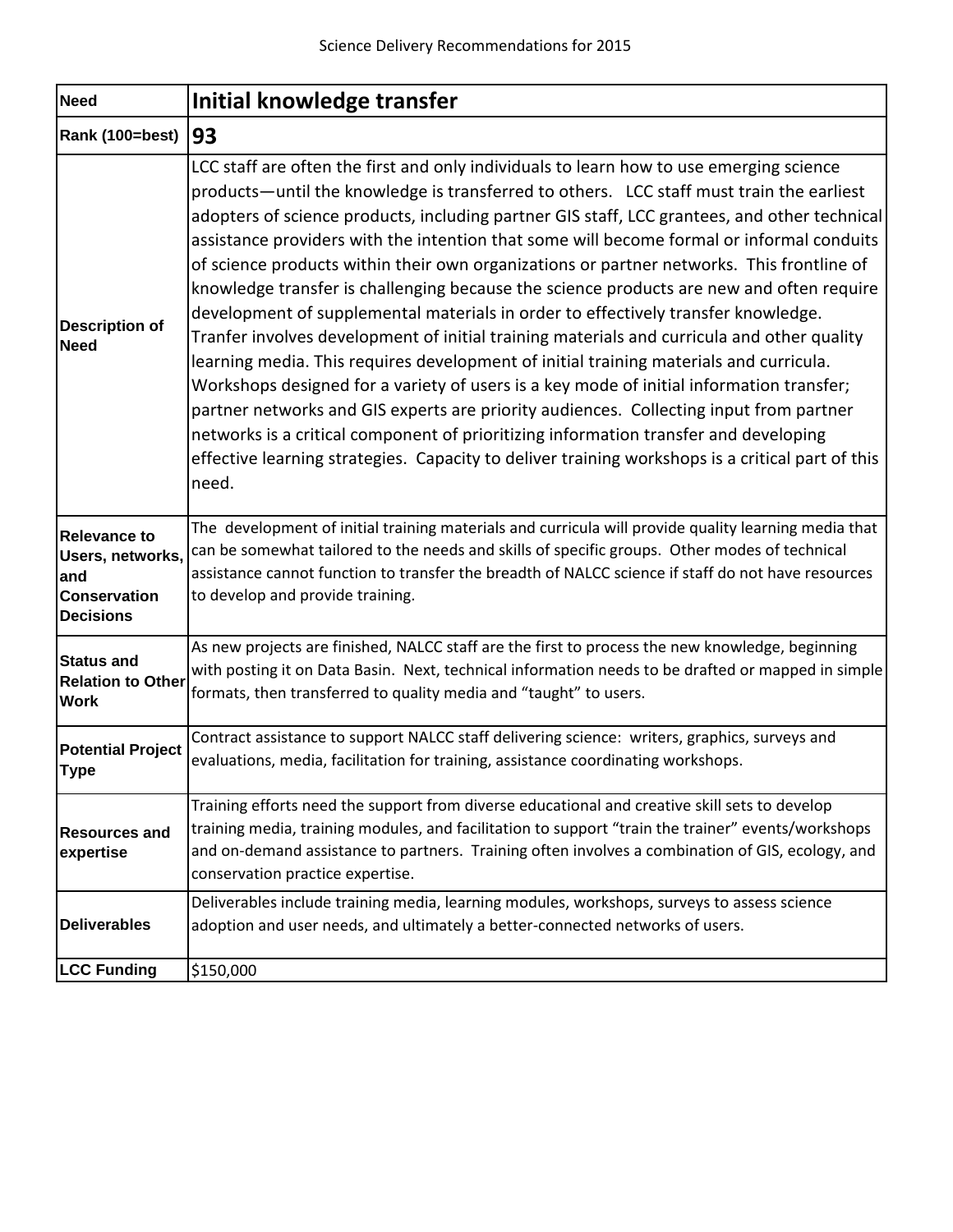| <b>Need</b>                                                                               | Initial knowledge transfer                                                                                                                                                                                                                                                                                                                                                                                                                                                                                                                                                                                                                                                                                                                                                                                                                                                                                                                                                                                                                                                                                                                                                                                                                        |
|-------------------------------------------------------------------------------------------|---------------------------------------------------------------------------------------------------------------------------------------------------------------------------------------------------------------------------------------------------------------------------------------------------------------------------------------------------------------------------------------------------------------------------------------------------------------------------------------------------------------------------------------------------------------------------------------------------------------------------------------------------------------------------------------------------------------------------------------------------------------------------------------------------------------------------------------------------------------------------------------------------------------------------------------------------------------------------------------------------------------------------------------------------------------------------------------------------------------------------------------------------------------------------------------------------------------------------------------------------|
| Rank (100=best)   93                                                                      |                                                                                                                                                                                                                                                                                                                                                                                                                                                                                                                                                                                                                                                                                                                                                                                                                                                                                                                                                                                                                                                                                                                                                                                                                                                   |
| <b>Description of</b><br><b>Need</b>                                                      | LCC staff are often the first and only individuals to learn how to use emerging science<br>products—until the knowledge is transferred to others. LCC staff must train the earliest<br>adopters of science products, including partner GIS staff, LCC grantees, and other technical<br>assistance providers with the intention that some will become formal or informal conduits<br>of science products within their own organizations or partner networks. This frontline of<br>knowledge transfer is challenging because the science products are new and often require<br>development of supplemental materials in order to effectively transfer knowledge.<br>Tranfer involves development of initial training materials and curricula and other quality<br>learning media. This requires development of initial training materials and curricula.<br>Workshops designed for a variety of users is a key mode of initial information transfer;<br>partner networks and GIS experts are priority audiences. Collecting input from partner<br>networks is a critical component of prioritizing information transfer and developing<br>effective learning strategies. Capacity to deliver training workshops is a critical part of this<br>need. |
| <b>Relevance to</b><br>Users, networks,<br>and<br><b>Conservation</b><br><b>Decisions</b> | The development of initial training materials and curricula will provide quality learning media that<br>can be somewhat tailored to the needs and skills of specific groups. Other modes of technical<br>assistance cannot function to transfer the breadth of NALCC science if staff do not have resources<br>to develop and provide training.                                                                                                                                                                                                                                                                                                                                                                                                                                                                                                                                                                                                                                                                                                                                                                                                                                                                                                   |
| <b>Status and</b><br><b>Relation to Other</b><br><b>Work</b>                              | As new projects are finished, NALCC staff are the first to process the new knowledge, beginning<br>with posting it on Data Basin. Next, technical information needs to be drafted or mapped in simple<br>formats, then transferred to quality media and "taught" to users.                                                                                                                                                                                                                                                                                                                                                                                                                                                                                                                                                                                                                                                                                                                                                                                                                                                                                                                                                                        |
| <b>Potential Project</b><br><b>Type</b>                                                   | Contract assistance to support NALCC staff delivering science: writers, graphics, surveys and<br>evaluations, media, facilitation for training, assistance coordinating workshops.                                                                                                                                                                                                                                                                                                                                                                                                                                                                                                                                                                                                                                                                                                                                                                                                                                                                                                                                                                                                                                                                |
| <b>Resources and</b><br>expertise                                                         | Training efforts need the support from diverse educational and creative skill sets to develop<br>training media, training modules, and facilitation to support "train the trainer" events/workshops<br>and on-demand assistance to partners. Training often involves a combination of GIS, ecology, and<br>conservation practice expertise.                                                                                                                                                                                                                                                                                                                                                                                                                                                                                                                                                                                                                                                                                                                                                                                                                                                                                                       |
| <b>Deliverables</b>                                                                       | Deliverables include training media, learning modules, workshops, surveys to assess science<br>adoption and user needs, and ultimately a better-connected networks of users.                                                                                                                                                                                                                                                                                                                                                                                                                                                                                                                                                                                                                                                                                                                                                                                                                                                                                                                                                                                                                                                                      |
| <b>LCC Funding</b>                                                                        | \$150,000                                                                                                                                                                                                                                                                                                                                                                                                                                                                                                                                                                                                                                                                                                                                                                                                                                                                                                                                                                                                                                                                                                                                                                                                                                         |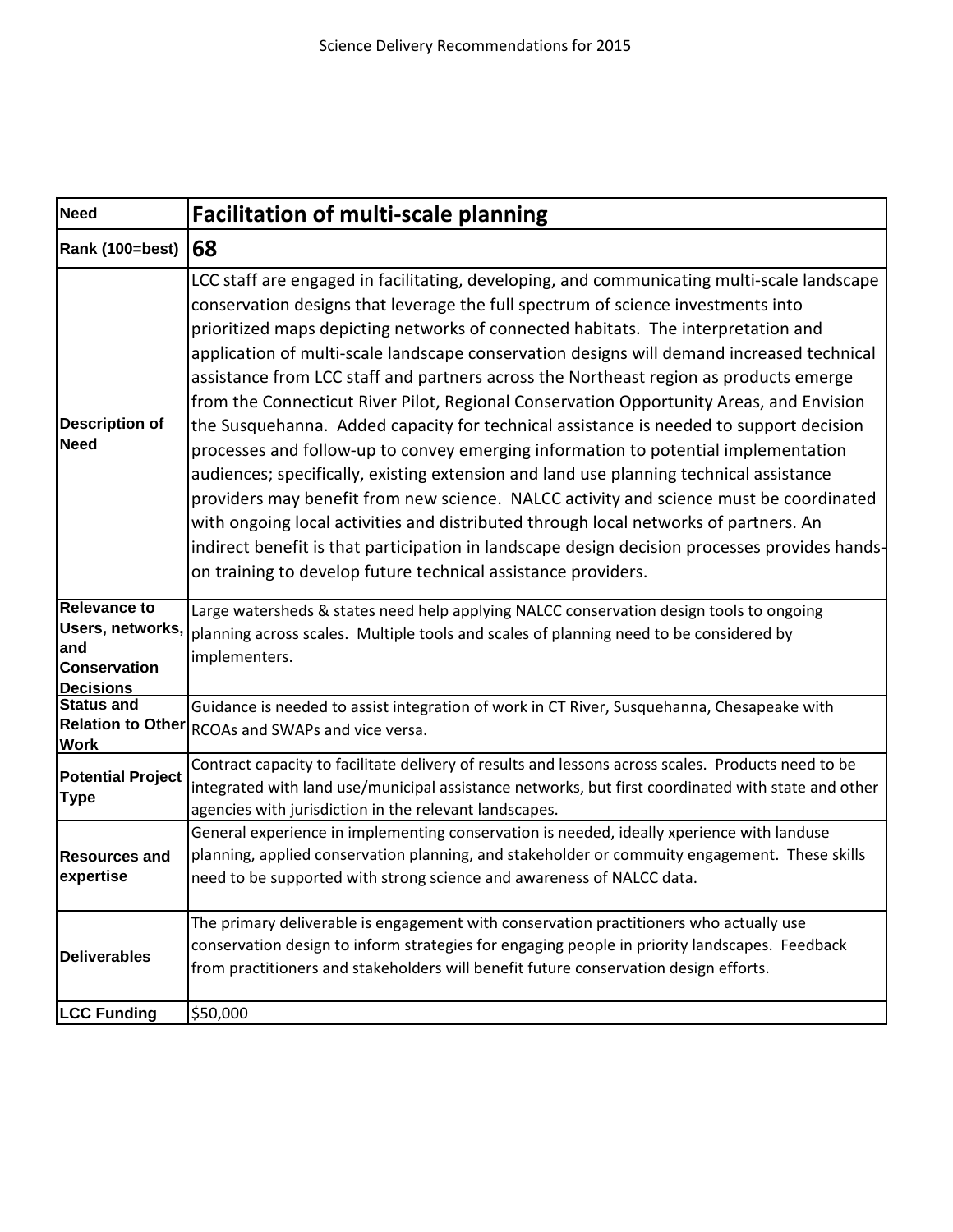| <b>Need</b>                                                                               | <b>Facilitation of multi-scale planning</b>                                                                                                                                                                                                                                                                                                                                                                                                                                                                                                                                                                                                                                                                                                                                                                                                                                                                                                                                                                                                                                                                                                                                        |
|-------------------------------------------------------------------------------------------|------------------------------------------------------------------------------------------------------------------------------------------------------------------------------------------------------------------------------------------------------------------------------------------------------------------------------------------------------------------------------------------------------------------------------------------------------------------------------------------------------------------------------------------------------------------------------------------------------------------------------------------------------------------------------------------------------------------------------------------------------------------------------------------------------------------------------------------------------------------------------------------------------------------------------------------------------------------------------------------------------------------------------------------------------------------------------------------------------------------------------------------------------------------------------------|
| Rank (100=best)                                                                           | 68                                                                                                                                                                                                                                                                                                                                                                                                                                                                                                                                                                                                                                                                                                                                                                                                                                                                                                                                                                                                                                                                                                                                                                                 |
| <b>Description of</b><br><b>Need</b>                                                      | LCC staff are engaged in facilitating, developing, and communicating multi-scale landscape<br>conservation designs that leverage the full spectrum of science investments into<br>prioritized maps depicting networks of connected habitats. The interpretation and<br>application of multi-scale landscape conservation designs will demand increased technical<br>assistance from LCC staff and partners across the Northeast region as products emerge<br>from the Connecticut River Pilot, Regional Conservation Opportunity Areas, and Envision<br>the Susquehanna. Added capacity for technical assistance is needed to support decision<br>processes and follow-up to convey emerging information to potential implementation<br>audiences; specifically, existing extension and land use planning technical assistance<br>providers may benefit from new science. NALCC activity and science must be coordinated<br>with ongoing local activities and distributed through local networks of partners. An<br>indirect benefit is that participation in landscape design decision processes provides hands-<br>on training to develop future technical assistance providers. |
| <b>Relevance to</b><br>Users, networks,<br>and<br><b>Conservation</b><br><b>Decisions</b> | Large watersheds & states need help applying NALCC conservation design tools to ongoing<br>planning across scales. Multiple tools and scales of planning need to be considered by<br>implementers.                                                                                                                                                                                                                                                                                                                                                                                                                                                                                                                                                                                                                                                                                                                                                                                                                                                                                                                                                                                 |
| <b>Status and</b><br><b>Relation to Other</b><br><b>Work</b>                              | Guidance is needed to assist integration of work in CT River, Susquehanna, Chesapeake with<br>RCOAs and SWAPs and vice versa.                                                                                                                                                                                                                                                                                                                                                                                                                                                                                                                                                                                                                                                                                                                                                                                                                                                                                                                                                                                                                                                      |
| <b>Potential Project</b><br><b>Type</b>                                                   | Contract capacity to facilitate delivery of results and lessons across scales. Products need to be<br>integrated with land use/municipal assistance networks, but first coordinated with state and other<br>agencies with jurisdiction in the relevant landscapes.                                                                                                                                                                                                                                                                                                                                                                                                                                                                                                                                                                                                                                                                                                                                                                                                                                                                                                                 |
| <b>Resources and</b><br>expertise                                                         | General experience in implementing conservation is needed, ideally xperience with landuse<br>planning, applied conservation planning, and stakeholder or commuity engagement. These skills<br>need to be supported with strong science and awareness of NALCC data.                                                                                                                                                                                                                                                                                                                                                                                                                                                                                                                                                                                                                                                                                                                                                                                                                                                                                                                |
| <b>Deliverables</b>                                                                       | The primary deliverable is engagement with conservation practitioners who actually use<br>conservation design to inform strategies for engaging people in priority landscapes. Feedback<br>from practitioners and stakeholders will benefit future conservation design efforts.                                                                                                                                                                                                                                                                                                                                                                                                                                                                                                                                                                                                                                                                                                                                                                                                                                                                                                    |
| <b>LCC Funding</b>                                                                        | \$50,000                                                                                                                                                                                                                                                                                                                                                                                                                                                                                                                                                                                                                                                                                                                                                                                                                                                                                                                                                                                                                                                                                                                                                                           |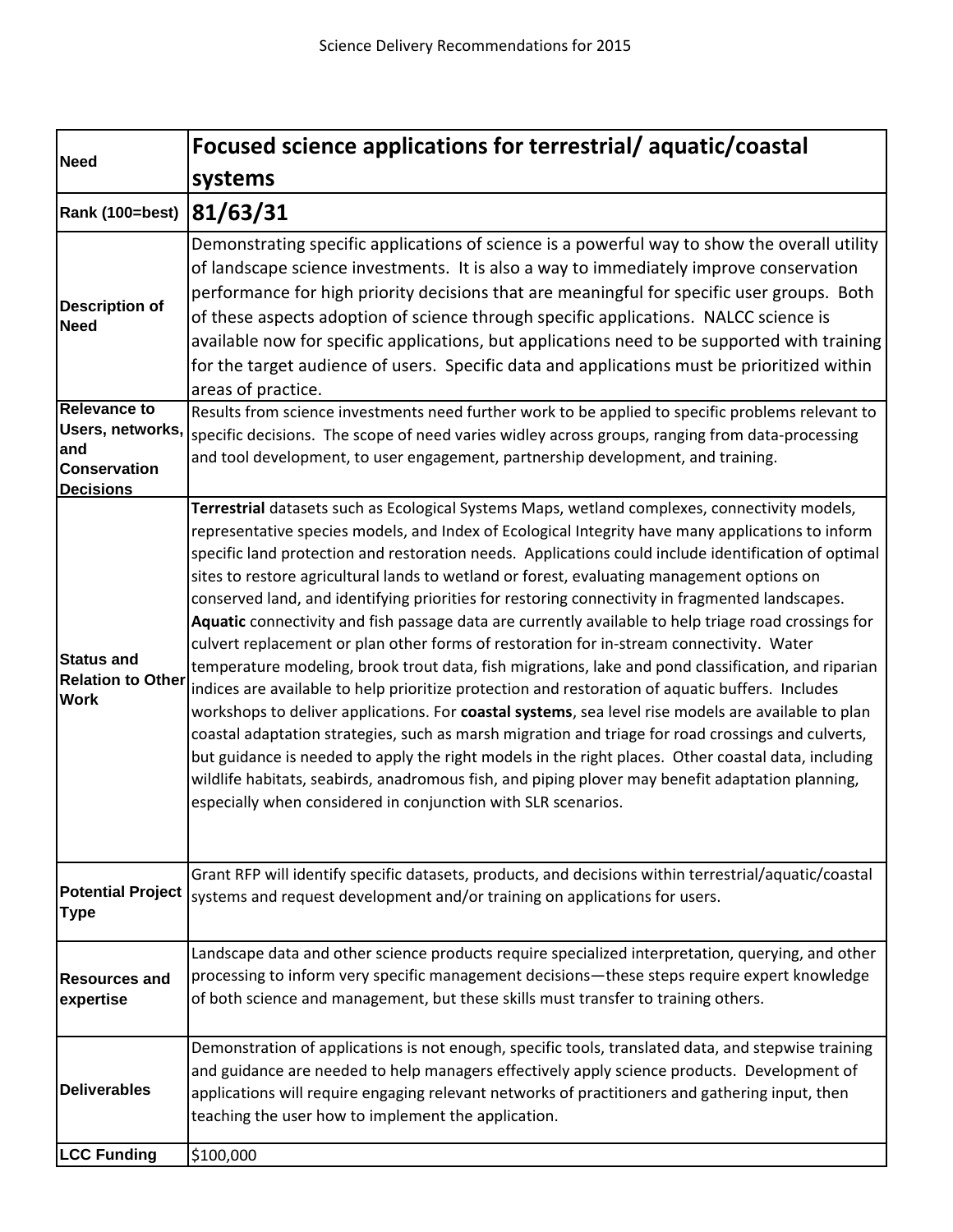| <b>Need</b>                                                  | Focused science applications for terrestrial/aquatic/coastal                                                                                                                                                                                                                                                                                                                                                                                                                                                                                                                                                                                                                                                                                                                                                                                                                                                                                                                                                                                                                                                                                                                                                                                                                                                                                                                                                        |
|--------------------------------------------------------------|---------------------------------------------------------------------------------------------------------------------------------------------------------------------------------------------------------------------------------------------------------------------------------------------------------------------------------------------------------------------------------------------------------------------------------------------------------------------------------------------------------------------------------------------------------------------------------------------------------------------------------------------------------------------------------------------------------------------------------------------------------------------------------------------------------------------------------------------------------------------------------------------------------------------------------------------------------------------------------------------------------------------------------------------------------------------------------------------------------------------------------------------------------------------------------------------------------------------------------------------------------------------------------------------------------------------------------------------------------------------------------------------------------------------|
|                                                              | systems                                                                                                                                                                                                                                                                                                                                                                                                                                                                                                                                                                                                                                                                                                                                                                                                                                                                                                                                                                                                                                                                                                                                                                                                                                                                                                                                                                                                             |
| Rank (100=best) 81/63/31                                     |                                                                                                                                                                                                                                                                                                                                                                                                                                                                                                                                                                                                                                                                                                                                                                                                                                                                                                                                                                                                                                                                                                                                                                                                                                                                                                                                                                                                                     |
| <b>Description of</b><br><b>Need</b>                         | Demonstrating specific applications of science is a powerful way to show the overall utility<br>of landscape science investments. It is also a way to immediately improve conservation<br>performance for high priority decisions that are meaningful for specific user groups. Both<br>of these aspects adoption of science through specific applications. NALCC science is<br>available now for specific applications, but applications need to be supported with training<br>for the target audience of users. Specific data and applications must be prioritized within<br>areas of practice.                                                                                                                                                                                                                                                                                                                                                                                                                                                                                                                                                                                                                                                                                                                                                                                                                   |
| <b>Relevance to</b><br>and<br><b>Conservation</b>            | Results from science investments need further work to be applied to specific problems relevant to<br>Users, networks, specific decisions. The scope of need varies widley across groups, ranging from data-processing<br>and tool development, to user engagement, partnership development, and training.                                                                                                                                                                                                                                                                                                                                                                                                                                                                                                                                                                                                                                                                                                                                                                                                                                                                                                                                                                                                                                                                                                           |
| <b>Decisions</b>                                             |                                                                                                                                                                                                                                                                                                                                                                                                                                                                                                                                                                                                                                                                                                                                                                                                                                                                                                                                                                                                                                                                                                                                                                                                                                                                                                                                                                                                                     |
| <b>Status and</b><br><b>Relation to Other</b><br><b>Work</b> | Terrestrial datasets such as Ecological Systems Maps, wetland complexes, connectivity models,<br>representative species models, and Index of Ecological Integrity have many applications to inform<br>specific land protection and restoration needs. Applications could include identification of optimal<br>sites to restore agricultural lands to wetland or forest, evaluating management options on<br>conserved land, and identifying priorities for restoring connectivity in fragmented landscapes.<br>Aquatic connectivity and fish passage data are currently available to help triage road crossings for<br>culvert replacement or plan other forms of restoration for in-stream connectivity. Water<br>temperature modeling, brook trout data, fish migrations, lake and pond classification, and riparian<br>indices are available to help prioritize protection and restoration of aquatic buffers. Includes<br>workshops to deliver applications. For coastal systems, sea level rise models are available to plan<br>coastal adaptation strategies, such as marsh migration and triage for road crossings and culverts,<br>but guidance is needed to apply the right models in the right places. Other coastal data, including<br>wildlife habitats, seabirds, anadromous fish, and piping plover may benefit adaptation planning,<br>especially when considered in conjunction with SLR scenarios. |
| <b>Type</b>                                                  | Grant RFP will identify specific datasets, products, and decisions within terrestrial/aquatic/coastal<br>Potential Project   systems and request development and/or training on applications for users.                                                                                                                                                                                                                                                                                                                                                                                                                                                                                                                                                                                                                                                                                                                                                                                                                                                                                                                                                                                                                                                                                                                                                                                                             |
| <b>Resources and</b><br>expertise                            | Landscape data and other science products require specialized interpretation, querying, and other<br>processing to inform very specific management decisions—these steps require expert knowledge<br>of both science and management, but these skills must transfer to training others.                                                                                                                                                                                                                                                                                                                                                                                                                                                                                                                                                                                                                                                                                                                                                                                                                                                                                                                                                                                                                                                                                                                             |
| <b>Deliverables</b>                                          | Demonstration of applications is not enough, specific tools, translated data, and stepwise training<br>and guidance are needed to help managers effectively apply science products. Development of<br>applications will require engaging relevant networks of practitioners and gathering input, then<br>teaching the user how to implement the application.                                                                                                                                                                                                                                                                                                                                                                                                                                                                                                                                                                                                                                                                                                                                                                                                                                                                                                                                                                                                                                                        |
| <b>LCC Funding</b>                                           | \$100,000                                                                                                                                                                                                                                                                                                                                                                                                                                                                                                                                                                                                                                                                                                                                                                                                                                                                                                                                                                                                                                                                                                                                                                                                                                                                                                                                                                                                           |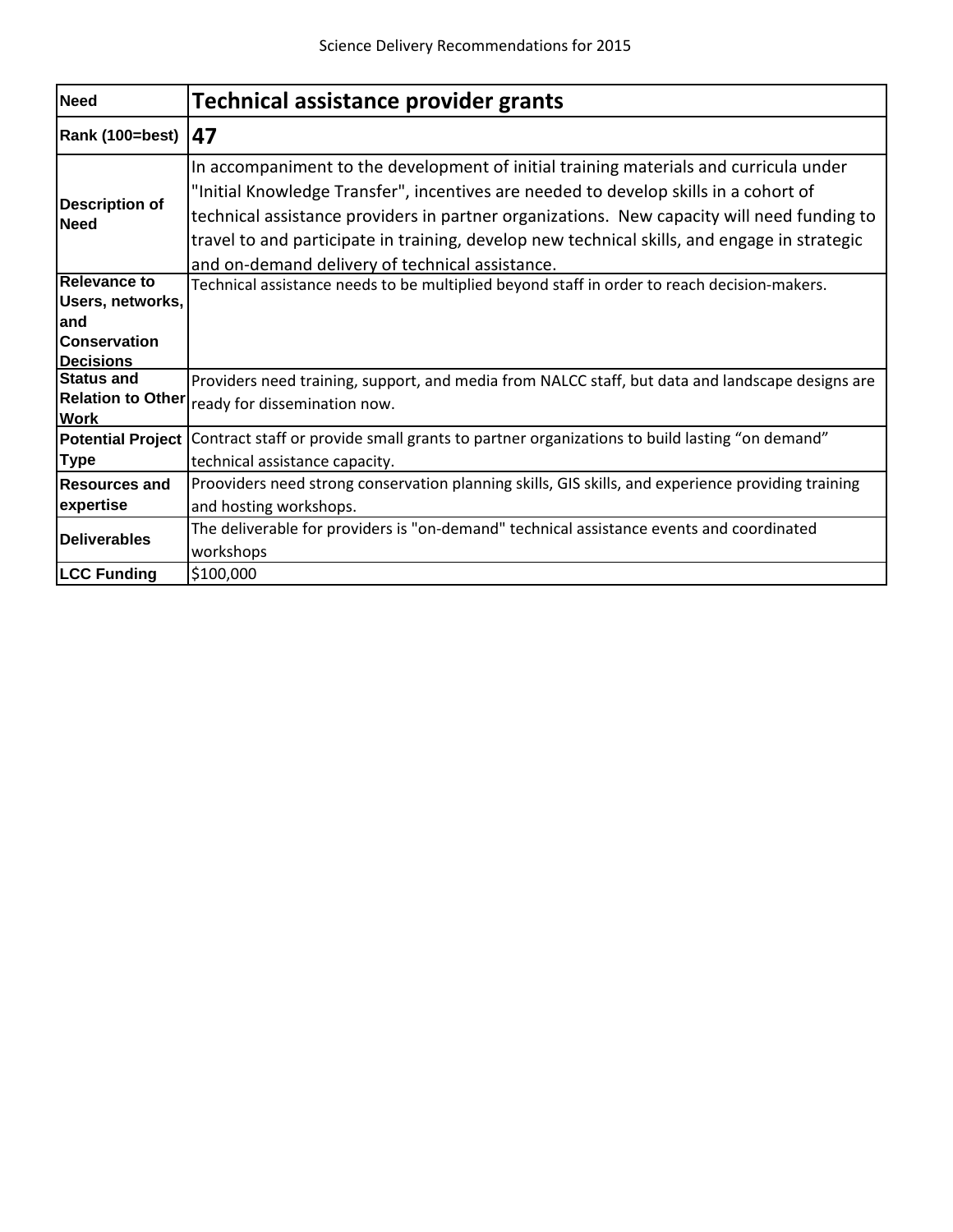| <b>Need</b>                                                                               | <b>Technical assistance provider grants</b>                                                                                                                                                                                                                                                                                                                                                                                    |
|-------------------------------------------------------------------------------------------|--------------------------------------------------------------------------------------------------------------------------------------------------------------------------------------------------------------------------------------------------------------------------------------------------------------------------------------------------------------------------------------------------------------------------------|
| Rank (100=best)                                                                           | 47                                                                                                                                                                                                                                                                                                                                                                                                                             |
| <b>Description of</b><br><b>Need</b>                                                      | In accompaniment to the development of initial training materials and curricula under<br>"Initial Knowledge Transfer", incentives are needed to develop skills in a cohort of<br>technical assistance providers in partner organizations. New capacity will need funding to<br>travel to and participate in training, develop new technical skills, and engage in strategic<br>and on-demand delivery of technical assistance. |
| <b>Relevance to</b><br>Users, networks,<br>and<br><b>Conservation</b><br><b>Decisions</b> | Technical assistance needs to be multiplied beyond staff in order to reach decision-makers.                                                                                                                                                                                                                                                                                                                                    |
| <b>Status and</b><br><b>Relation to Other</b><br><b>Work</b>                              | Providers need training, support, and media from NALCC staff, but data and landscape designs are<br>ready for dissemination now.                                                                                                                                                                                                                                                                                               |
| <b>Potential Project</b><br><b>Type</b>                                                   | Contract staff or provide small grants to partner organizations to build lasting "on demand"<br>technical assistance capacity.                                                                                                                                                                                                                                                                                                 |
| <b>Resources and</b><br>expertise                                                         | Prooviders need strong conservation planning skills, GIS skills, and experience providing training<br>and hosting workshops.                                                                                                                                                                                                                                                                                                   |
| <b>Deliverables</b>                                                                       | The deliverable for providers is "on-demand" technical assistance events and coordinated<br>workshops                                                                                                                                                                                                                                                                                                                          |
| <b>LCC Funding</b>                                                                        | \$100,000                                                                                                                                                                                                                                                                                                                                                                                                                      |